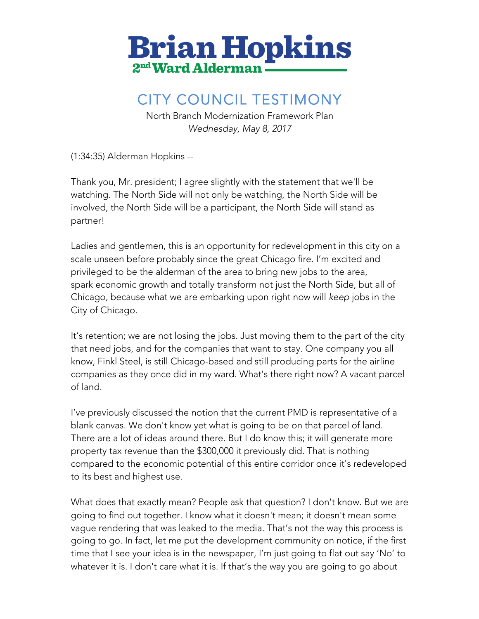

## CITY COUNCIL TESTIMONY

North Branch Modernization Framework Plan *Wednesday, May 8, 2017*

(1:34:35) Alderman Hopkins --

Thank you, Mr. president; I agree slightly with the statement that we'll be watching. The North Side will not only be watching, the North Side will be involved, the North Side will be a participant, the North Side will stand as partner!

Ladies and gentlemen, this is an opportunity for redevelopment in this city on a scale unseen before probably since the great Chicago fire. I'm excited and privileged to be the alderman of the area to bring new jobs to the area, spark economic growth and totally transform not just the North Side, but all of Chicago, because what we are embarking upon right now will *keep* jobs in the City of Chicago.

It's retention; we are not losing the jobs. Just moving them to the part of the city that need jobs, and for the companies that want to stay. One company you all know, Finkl Steel, is still Chicago-based and still producing parts for the airline companies as they once did in my ward. What's there right now? A vacant parcel of land.

I've previously discussed the notion that the current PMD is representative of a blank canvas. We don't know yet what is going to be on that parcel of land. There are a lot of ideas around there. But I do know this; it will generate more property tax revenue than the \$300,000 it previously did. That is nothing compared to the economic potential of this entire corridor once it's redeveloped to its best and highest use.

What does that exactly mean? People ask that question? I don't know. But we are going to find out together. I know what it doesn't mean; it doesn't mean some vague rendering that was leaked to the media. That's not the way this process is going to go. In fact, let me put the development community on notice, if the first time that I see your idea is in the newspaper, I'm just going to flat out say 'No' to whatever it is. I don't care what it is. If that's the way you are going to go about